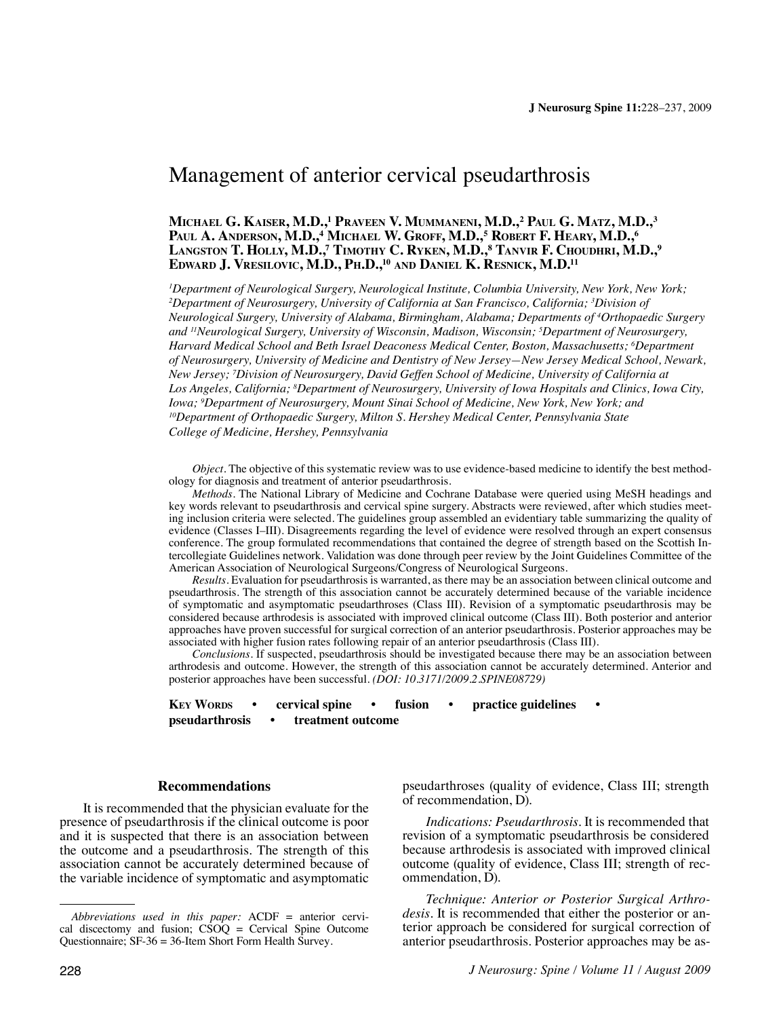# Management of anterior cervical pseudarthrosis

### **Michael G. Kaiser, M.D.,1 Praveen V. Mummaneni, M.D.,2 Paul G. Matz, M.D.,3 Paul A. Anderson, M.D.,4 Michael W. Groff, M.D.,5 Robert F. Heary, M.D.,6 Langston T. Holly, M.D.,7 Timothy C. Ryken, M.D.,8 Tanvir F. Choudhri, M.D.,9 Edward J. Vresilovic, M.D., Ph.D.,10 and Daniel K. Resnick, M.D.11**

*1 Department of Neurological Surgery, Neurological Institute, Columbia University, New York, New York; 2 Department of Neurosurgery, University of California at San Francisco, California; 3 Division of Neurological Surgery, University of Alabama, Birmingham, Alabama; Departments of 4 Orthopaedic Surgery and 11Neurological Surgery, University of Wisconsin, Madison, Wisconsin; 5 Department of Neurosurgery, Harvard Medical School and Beth Israel Deaconess Medical Center, Boston, Massachusetts; 6 Department of Neurosurgery, University of Medicine and Dentistry of New Jersey—New Jersey Medical School, Newark, New Jersey; 7 Division of Neurosurgery, David Geffen School of Medicine, University of California at Los Angeles, California; 8 Department of Neurosurgery, University of Iowa Hospitals and Clinics, Iowa City, Iowa; 'Department of Neurosurgery, Mount Sinai School of Medicine, New York, New York; and* <sup>10</sup>Department of Orthopaedic Surgery, Milton S. Hershey Medical Center, Pennsylvania State *College of Medicine, Hershey, Pennsylvania*

*Object.* The objective of this systematic review was to use evidence-based medicine to identify the best methodology for diagnosis and treatment of anterior pseudarthrosis.

*Methods.* The National Library of Medicine and Cochrane Database were queried using MeSH headings and key words relevant to pseudarthrosis and cervical spine surgery. Abstracts were reviewed, after which studies meeting inclusion criteria were selected. The guidelines group assembled an evidentiary table summarizing the quality of evidence (Classes I–III). Disagreements regarding the level of evidence were resolved through an expert consensus conference. The group formulated recommendations that contained the degree of strength based on the Scottish Intercollegiate Guidelines network. Validation was done through peer review by the Joint Guidelines Committee of the American Association of Neurological Surgeons/Congress of Neurological Surgeons.

*Results.* Evaluation for pseudarthrosis is warranted, as there may be an association between clinical outcome and pseudarthrosis. The strength of this association cannot be accurately determined because of the variable incidence of symptomatic and asymptomatic pseudarthroses (Class III). Revision of a symptomatic pseudarthrosis may be considered because arthrodesis is associated with improved clinical outcome (Class III). Both posterior and anterior approaches have proven successful for surgical correction of an anterior pseudarthrosis. Posterior approaches may be associated with higher fusion rates following repair of an anterior pseudarthrosis (Class III).

*Conclusions*. If suspected, pseudarthrosis should be investigated because there may be an association between arthrodesis and outcome. However, the strength of this association cannot be accurately determined. Anterior and posterior approaches have been successful. *(DOI: 10.3171/2009.2.SPINE08729)*

**KEY WORDS** • cervical spine • fusion • practice guidelines **pseudarthrosis • treatment outcome**

#### **Recommendations**

It is recommended that the physician evaluate for the presence of pseudarthrosis if the clinical outcome is poor and it is suspected that there is an association between the outcome and a pseudarthrosis. The strength of this association cannot be accurately determined because of the variable incidence of symptomatic and asymptomatic

pseudarthroses (quality of evidence, Class III; strength of recommendation, D).

*Indications: Pseudarthrosis.* It is recommended that revision of a symptomatic pseudarthrosis be considered because arthrodesis is associated with improved clinical outcome (quality of evidence, Class III; strength of recommendation, D).

*Technique: Anterior or Posterior Surgical Arthrodesis.* It is recommended that either the posterior or anterior approach be considered for surgical correction of anterior pseudarthrosis. Posterior approaches may be as-

*Abbreviations used in this paper:* ACDF = anterior cervical discectomy and fusion; CSOQ = Cervical Spine Outcome Questionnaire; SF-36 = 36-Item Short Form Health Survey.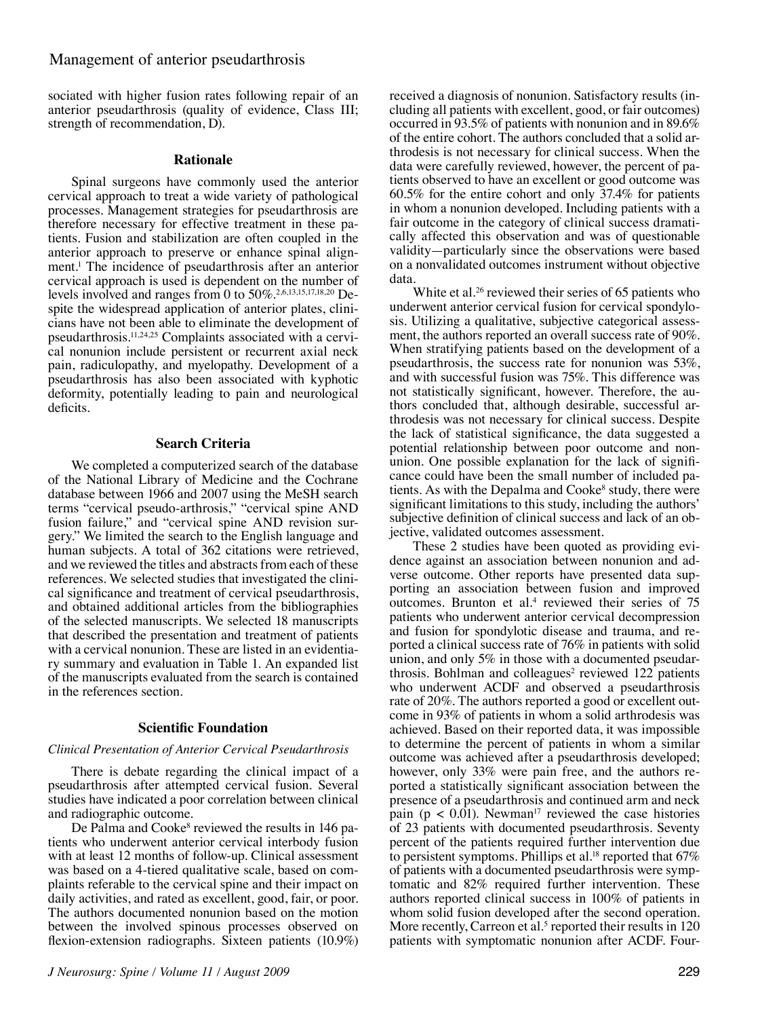### Management of anterior pseudarthrosis

sociated with higher fusion rates following repair of an anterior pseudarthrosis (quality of evidence, Class III; strength of recommendation, D).

#### **Rationale**

Spinal surgeons have commonly used the anterior cervical approach to treat a wide variety of pathological processes. Management strategies for pseudarthrosis are therefore necessary for effective treatment in these patients. Fusion and stabilization are often coupled in the anterior approach to preserve or enhance spinal alignment.1 The incidence of pseudarthrosis after an anterior cervical approach is used is dependent on the number of levels involved and ranges from 0 to 50%.2,6,13,15,17,18,20 Despite the widespread application of anterior plates, clinicians have not been able to eliminate the development of pseudarthrosis.11,24,25 Complaints associated with a cervical nonunion include persistent or recurrent axial neck pain, radiculopathy, and myelopathy. Development of a pseudarthrosis has also been associated with kyphotic deformity, potentially leading to pain and neurological deficits.

### **Search Criteria**

We completed a computerized search of the database of the National Library of Medicine and the Cochrane database between 1966 and 2007 using the MeSH search terms "cervical pseudo-arthrosis," "cervical spine AND fusion failure," and "cervical spine AND revision surgery." We limited the search to the English language and human subjects. A total of 362 citations were retrieved, and we reviewed the titles and abstracts from each of these references. We selected studies that investigated the clinical significance and treatment of cervical pseudarthrosis, and obtained additional articles from the bibliographies of the selected manuscripts. We selected 18 manuscripts that described the presentation and treatment of patients with a cervical nonunion. These are listed in an evidentiary summary and evaluation in Table 1. An expanded list of the manuscripts evaluated from the search is contained in the references section.

### **Scientific Foundation**

### *Clinical Presentation of Anterior Cervical Pseudarthrosis*

There is debate regarding the clinical impact of a pseudarthrosis after attempted cervical fusion. Several studies have indicated a poor correlation between clinical and radiographic outcome.

De Palma and Cooke<sup>8</sup> reviewed the results in 146 patients who underwent anterior cervical interbody fusion with at least 12 months of follow-up. Clinical assessment was based on a 4-tiered qualitative scale, based on complaints referable to the cervical spine and their impact on daily activities, and rated as excellent, good, fair, or poor. The authors documented nonunion based on the motion between the involved spinous processes observed on flexion-extension radiographs. Sixteen patients (10.9%) received a diagnosis of nonunion. Satisfactory results (including all patients with excellent, good, or fair outcomes) occurred in 93.5% of patients with nonunion and in 89.6% of the entire cohort. The authors concluded that a solid arthrodesis is not necessary for clinical success. When the data were carefully reviewed, however, the percent of patients observed to have an excellent or good outcome was 60.5% for the entire cohort and only 37.4% for patients in whom a nonunion developed. Including patients with a fair outcome in the category of clinical success dramatically affected this observation and was of questionable validity—particularly since the observations were based on a nonvalidated outcomes instrument without objective data.

White et al.<sup>26</sup> reviewed their series of 65 patients who underwent anterior cervical fusion for cervical spondylosis. Utilizing a qualitative, subjective categorical assessment, the authors reported an overall success rate of 90%. When stratifying patients based on the development of a pseudarthrosis, the success rate for nonunion was 53%, and with successful fusion was 75%. This difference was not statistically significant, however. Therefore, the authors concluded that, although desirable, successful arthrodesis was not necessary for clinical success. Despite the lack of statistical significance, the data suggested a potential relationship between poor outcome and nonunion. One possible explanation for the lack of significance could have been the small number of included patients. As with the Depalma and Cooke<sup>8</sup> study, there were significant limitations to this study, including the authors' subjective definition of clinical success and lack of an objective, validated outcomes assessment.

These 2 studies have been quoted as providing evidence against an association between nonunion and adverse outcome. Other reports have presented data supporting an association between fusion and improved outcomes. Brunton et al.<sup>4</sup> reviewed their series of 75 patients who underwent anterior cervical decompression and fusion for spondylotic disease and trauma, and reported a clinical success rate of 76% in patients with solid union, and only 5% in those with a documented pseudarthrosis. Bohlman and colleagues<sup>2</sup> reviewed 122 patients who underwent ACDF and observed a pseudarthrosis rate of 20%. The authors reported a good or excellent outcome in 93% of patients in whom a solid arthrodesis was achieved. Based on their reported data, it was impossible to determine the percent of patients in whom a similar outcome was achieved after a pseudarthrosis developed; however, only 33% were pain free, and the authors reported a statistically significant association between the presence of a pseudarthrosis and continued arm and neck pain ( $p < 0.01$ ). Newman<sup>17</sup> reviewed the case histories of 23 patients with documented pseudarthrosis. Seventy percent of the patients required further intervention due to persistent symptoms. Phillips et al.<sup>18</sup> reported that 67% of patients with a documented pseudarthrosis were symptomatic and 82% required further intervention. These authors reported clinical success in 100% of patients in whom solid fusion developed after the second operation. More recently, Carreon et al. $<sup>5</sup>$  reported their results in 120</sup> patients with symptomatic nonunion after ACDF. Four-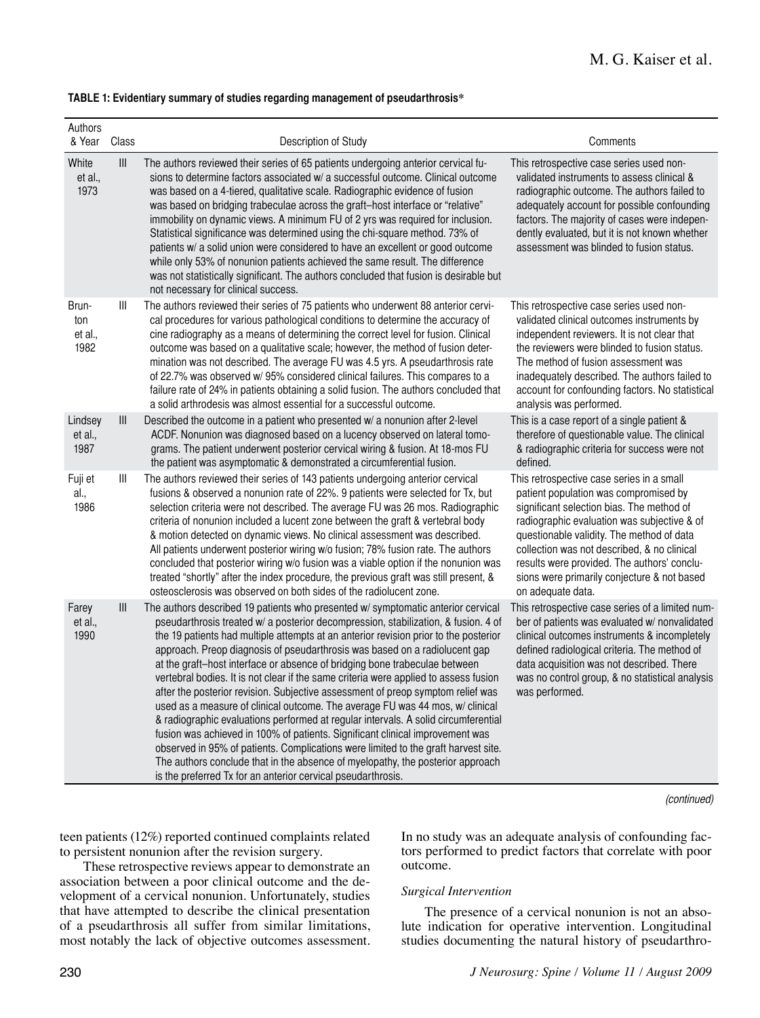### **TABLE 1: Evidentiary summary of studies regarding management of pseudarthrosis\***

| Authors<br>& Year               | Class | Description of Study                                                                                                                                                                                                                                                                                                                                                                                                                                                                                                                                                                                                                                                                                                                                                                                                                                                                                                                                                                                                                                                                                  | Comments                                                                                                                                                                                                                                                                                                                                                                                      |
|---------------------------------|-------|-------------------------------------------------------------------------------------------------------------------------------------------------------------------------------------------------------------------------------------------------------------------------------------------------------------------------------------------------------------------------------------------------------------------------------------------------------------------------------------------------------------------------------------------------------------------------------------------------------------------------------------------------------------------------------------------------------------------------------------------------------------------------------------------------------------------------------------------------------------------------------------------------------------------------------------------------------------------------------------------------------------------------------------------------------------------------------------------------------|-----------------------------------------------------------------------------------------------------------------------------------------------------------------------------------------------------------------------------------------------------------------------------------------------------------------------------------------------------------------------------------------------|
| White<br>et al.,<br>1973        | III   | The authors reviewed their series of 65 patients undergoing anterior cervical fu-<br>sions to determine factors associated w/ a successful outcome. Clinical outcome<br>was based on a 4-tiered, qualitative scale. Radiographic evidence of fusion<br>was based on bridging trabeculae across the graft-host interface or "relative"<br>immobility on dynamic views. A minimum FU of 2 yrs was required for inclusion.<br>Statistical significance was determined using the chi-square method. 73% of<br>patients w/ a solid union were considered to have an excellent or good outcome<br>while only 53% of nonunion patients achieved the same result. The difference<br>was not statistically significant. The authors concluded that fusion is desirable but<br>not necessary for clinical success.                                                                                                                                                                                                                                                                                              | This retrospective case series used non-<br>validated instruments to assess clinical &<br>radiographic outcome. The authors failed to<br>adequately account for possible confounding<br>factors. The majority of cases were indepen-<br>dently evaluated, but it is not known whether<br>assessment was blinded to fusion status.                                                             |
| Brun-<br>ton<br>et al.,<br>1982 | Ш     | The authors reviewed their series of 75 patients who underwent 88 anterior cervi-<br>cal procedures for various pathological conditions to determine the accuracy of<br>cine radiography as a means of determining the correct level for fusion. Clinical<br>outcome was based on a qualitative scale; however, the method of fusion deter-<br>mination was not described. The average FU was 4.5 yrs. A pseudarthrosis rate<br>of 22.7% was observed w/ 95% considered clinical failures. This compares to a<br>failure rate of 24% in patients obtaining a solid fusion. The authors concluded that<br>a solid arthrodesis was almost essential for a successful outcome.                                                                                                                                                                                                                                                                                                                                                                                                                           | This retrospective case series used non-<br>validated clinical outcomes instruments by<br>independent reviewers. It is not clear that<br>the reviewers were blinded to fusion status.<br>The method of fusion assessment was<br>inadequately described. The authors failed to<br>account for confounding factors. No statistical<br>analysis was performed.                                   |
| Lindsey<br>et al.,<br>1987      | Ш     | Described the outcome in a patient who presented w/ a nonunion after 2-level<br>ACDF. Nonunion was diagnosed based on a lucency observed on lateral tomo-<br>grams. The patient underwent posterior cervical wiring & fusion. At 18-mos FU<br>the patient was asymptomatic & demonstrated a circumferential fusion.                                                                                                                                                                                                                                                                                                                                                                                                                                                                                                                                                                                                                                                                                                                                                                                   | This is a case report of a single patient &<br>therefore of questionable value. The clinical<br>& radiographic criteria for success were not<br>defined.                                                                                                                                                                                                                                      |
| Fuji et<br>al.,<br>1986         | Ш     | The authors reviewed their series of 143 patients undergoing anterior cervical<br>fusions & observed a nonunion rate of 22%. 9 patients were selected for Tx, but<br>selection criteria were not described. The average FU was 26 mos. Radiographic<br>criteria of nonunion included a lucent zone between the graft & vertebral body<br>& motion detected on dynamic views. No clinical assessment was described.<br>All patients underwent posterior wiring w/o fusion; 78% fusion rate. The authors<br>concluded that posterior wiring w/o fusion was a viable option if the nonunion was<br>treated "shortly" after the index procedure, the previous graft was still present, &<br>osteosclerosis was observed on both sides of the radiolucent zone.                                                                                                                                                                                                                                                                                                                                            | This retrospective case series in a small<br>patient population was compromised by<br>significant selection bias. The method of<br>radiographic evaluation was subjective & of<br>questionable validity. The method of data<br>collection was not described, & no clinical<br>results were provided. The authors' conclu-<br>sions were primarily conjecture & not based<br>on adequate data. |
| Farey<br>et al.,<br>1990        | III   | The authors described 19 patients who presented w/ symptomatic anterior cervical<br>pseudarthrosis treated w/ a posterior decompression, stabilization, & fusion. 4 of<br>the 19 patients had multiple attempts at an anterior revision prior to the posterior<br>approach. Preop diagnosis of pseudarthrosis was based on a radiolucent gap<br>at the graft-host interface or absence of bridging bone trabeculae between<br>vertebral bodies. It is not clear if the same criteria were applied to assess fusion<br>after the posterior revision. Subjective assessment of preop symptom relief was<br>used as a measure of clinical outcome. The average FU was 44 mos, w/ clinical<br>& radiographic evaluations performed at regular intervals. A solid circumferential<br>fusion was achieved in 100% of patients. Significant clinical improvement was<br>observed in 95% of patients. Complications were limited to the graft harvest site.<br>The authors conclude that in the absence of myelopathy, the posterior approach<br>is the preferred Tx for an anterior cervical pseudarthrosis. | This retrospective case series of a limited num-<br>ber of patients was evaluated w/ nonvalidated<br>clinical outcomes instruments & incompletely<br>defined radiological criteria. The method of<br>data acquisition was not described. There<br>was no control group, & no statistical analysis<br>was performed.                                                                           |

(continued)

teen patients (12%) reported continued complaints related to persistent nonunion after the revision surgery.

These retrospective reviews appear to demonstrate an association between a poor clinical outcome and the development of a cervical nonunion. Unfortunately, studies that have attempted to describe the clinical presentation of a pseudarthrosis all suffer from similar limitations, most notably the lack of objective outcomes assessment. In no study was an adequate analysis of confounding factors performed to predict factors that correlate with poor outcome.

### *Surgical Intervention*

The presence of a cervical nonunion is not an absolute indication for operative intervention. Longitudinal studies documenting the natural history of pseudarthro-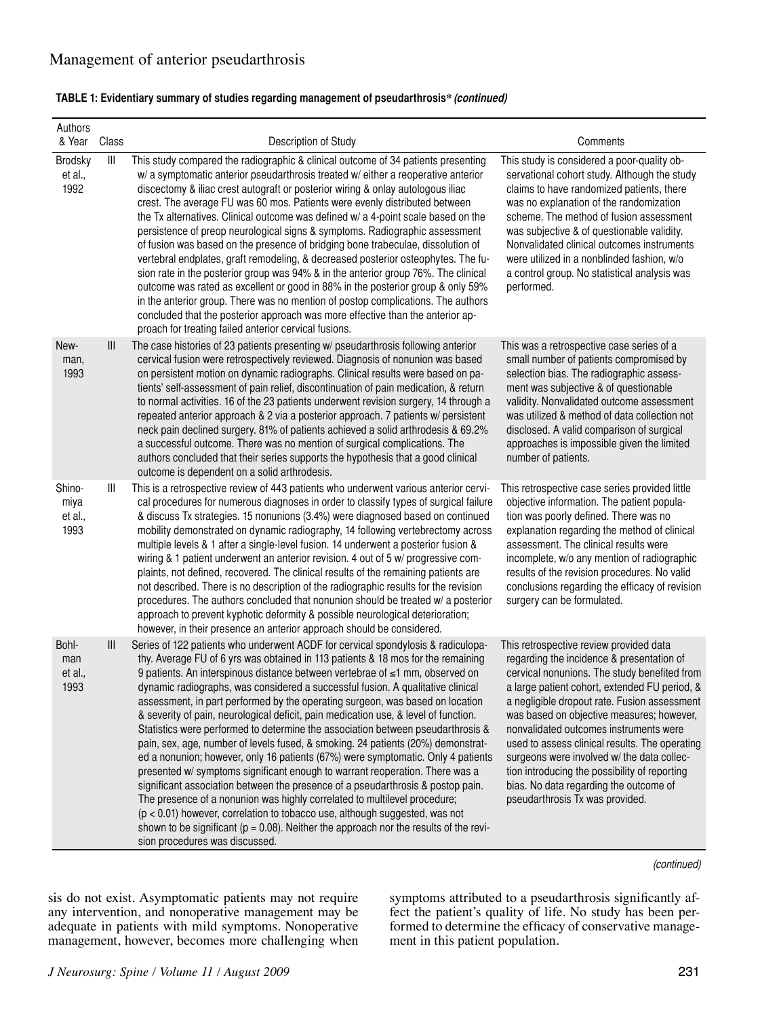| TABLE 1: Evidentiary summary of studies regarding management of pseudarthrosis* (continued) |  |  |  |
|---------------------------------------------------------------------------------------------|--|--|--|
|---------------------------------------------------------------------------------------------|--|--|--|

| Authors<br>& Year                 | Class        | Description of Study                                                                                                                                                                                                                                                                                                                                                                                                                                                                                                                                                                                                                                                                                                                                                                                                                                                                                                                                                                                                                                                                                                                                                                                                                       | Comments                                                                                                                                                                                                                                                                                                                                                                                                                                                                                                                                                   |
|-----------------------------------|--------------|--------------------------------------------------------------------------------------------------------------------------------------------------------------------------------------------------------------------------------------------------------------------------------------------------------------------------------------------------------------------------------------------------------------------------------------------------------------------------------------------------------------------------------------------------------------------------------------------------------------------------------------------------------------------------------------------------------------------------------------------------------------------------------------------------------------------------------------------------------------------------------------------------------------------------------------------------------------------------------------------------------------------------------------------------------------------------------------------------------------------------------------------------------------------------------------------------------------------------------------------|------------------------------------------------------------------------------------------------------------------------------------------------------------------------------------------------------------------------------------------------------------------------------------------------------------------------------------------------------------------------------------------------------------------------------------------------------------------------------------------------------------------------------------------------------------|
| Brodsky<br>et al.,<br>1992        | Ш            | This study compared the radiographic & clinical outcome of 34 patients presenting<br>w/ a symptomatic anterior pseudarthrosis treated w/ either a reoperative anterior<br>discectomy & iliac crest autograft or posterior wiring & onlay autologous iliac<br>crest. The average FU was 60 mos. Patients were evenly distributed between<br>the Tx alternatives. Clinical outcome was defined w/ a 4-point scale based on the<br>persistence of preop neurological signs & symptoms. Radiographic assessment<br>of fusion was based on the presence of bridging bone trabeculae, dissolution of<br>vertebral endplates, graft remodeling, & decreased posterior osteophytes. The fu-<br>sion rate in the posterior group was 94% & in the anterior group 76%. The clinical<br>outcome was rated as excellent or good in 88% in the posterior group & only 59%<br>in the anterior group. There was no mention of postop complications. The authors<br>concluded that the posterior approach was more effective than the anterior ap-<br>proach for treating failed anterior cervical fusions.                                                                                                                                                | This study is considered a poor-quality ob-<br>servational cohort study. Although the study<br>claims to have randomized patients, there<br>was no explanation of the randomization<br>scheme. The method of fusion assessment<br>was subjective & of questionable validity.<br>Nonvalidated clinical outcomes instruments<br>were utilized in a nonblinded fashion, w/o<br>a control group. No statistical analysis was<br>performed.                                                                                                                     |
| New-<br>man,<br>1993              | $\mathbb{I}$ | The case histories of 23 patients presenting w/ pseudarthrosis following anterior<br>cervical fusion were retrospectively reviewed. Diagnosis of nonunion was based<br>on persistent motion on dynamic radiographs. Clinical results were based on pa-<br>tients' self-assessment of pain relief, discontinuation of pain medication, & return<br>to normal activities. 16 of the 23 patients underwent revision surgery, 14 through a<br>repeated anterior approach & 2 via a posterior approach. 7 patients w/ persistent<br>neck pain declined surgery. 81% of patients achieved a solid arthrodesis & 69.2%<br>a successful outcome. There was no mention of surgical complications. The<br>authors concluded that their series supports the hypothesis that a good clinical<br>outcome is dependent on a solid arthrodesis.                                                                                                                                                                                                                                                                                                                                                                                                           | This was a retrospective case series of a<br>small number of patients compromised by<br>selection bias. The radiographic assess-<br>ment was subjective & of questionable<br>validity. Nonvalidated outcome assessment<br>was utilized & method of data collection not<br>disclosed. A valid comparison of surgical<br>approaches is impossible given the limited<br>number of patients.                                                                                                                                                                   |
| Shino-<br>miya<br>et al.,<br>1993 | Ш            | This is a retrospective review of 443 patients who underwent various anterior cervi-<br>cal procedures for numerous diagnoses in order to classify types of surgical failure<br>& discuss Tx strategies. 15 nonunions (3.4%) were diagnosed based on continued<br>mobility demonstrated on dynamic radiography, 14 following vertebrectomy across<br>multiple levels & 1 after a single-level fusion. 14 underwent a posterior fusion &<br>wiring & 1 patient underwent an anterior revision. 4 out of 5 w/ progressive com-<br>plaints, not defined, recovered. The clinical results of the remaining patients are<br>not described. There is no description of the radiographic results for the revision<br>procedures. The authors concluded that nonunion should be treated w/ a posterior<br>approach to prevent kyphotic deformity & possible neurological deterioration;<br>however, in their presence an anterior approach should be considered.                                                                                                                                                                                                                                                                                   | This retrospective case series provided little<br>objective information. The patient popula-<br>tion was poorly defined. There was no<br>explanation regarding the method of clinical<br>assessment. The clinical results were<br>incomplete, w/o any mention of radiographic<br>results of the revision procedures. No valid<br>conclusions regarding the efficacy of revision<br>surgery can be formulated.                                                                                                                                              |
| Bohl-<br>man<br>et al.,<br>1993   | $\mathbb{I}$ | Series of 122 patients who underwent ACDF for cervical spondylosis & radiculopa-<br>thy. Average FU of 6 yrs was obtained in 113 patients & 18 mos for the remaining<br>9 patients. An interspinous distance between vertebrae of ≤1 mm, observed on<br>dynamic radiographs, was considered a successful fusion. A qualitative clinical<br>assessment, in part performed by the operating surgeon, was based on location<br>& severity of pain, neurological deficit, pain medication use, & level of function.<br>Statistics were performed to determine the association between pseudarthrosis &<br>pain, sex, age, number of levels fused, & smoking. 24 patients (20%) demonstrat-<br>ed a nonunion; however, only 16 patients (67%) were symptomatic. Only 4 patients<br>presented w/ symptoms significant enough to warrant reoperation. There was a<br>significant association between the presence of a pseudarthrosis & postop pain.<br>The presence of a nonunion was highly correlated to multilevel procedure;<br>$(p < 0.01)$ however, correlation to tobacco use, although suggested, was not<br>shown to be significant ( $p = 0.08$ ). Neither the approach nor the results of the revi-<br>sion procedures was discussed. | This retrospective review provided data<br>regarding the incidence & presentation of<br>cervical nonunions. The study benefited from<br>a large patient cohort, extended FU period, &<br>a negligible dropout rate. Fusion assessment<br>was based on objective measures; however,<br>nonvalidated outcomes instruments were<br>used to assess clinical results. The operating<br>surgeons were involved w/ the data collec-<br>tion introducing the possibility of reporting<br>bias. No data regarding the outcome of<br>pseudarthrosis Tx was provided. |

# (continued)

sis do not exist. Asymptomatic patients may not require any intervention, and nonoperative management may be adequate in patients with mild symptoms. Nonoperative management, however, becomes more challenging when

symptoms attributed to a pseudarthrosis significantly affect the patient's quality of life. No study has been performed to determine the efficacy of conservative management in this patient population.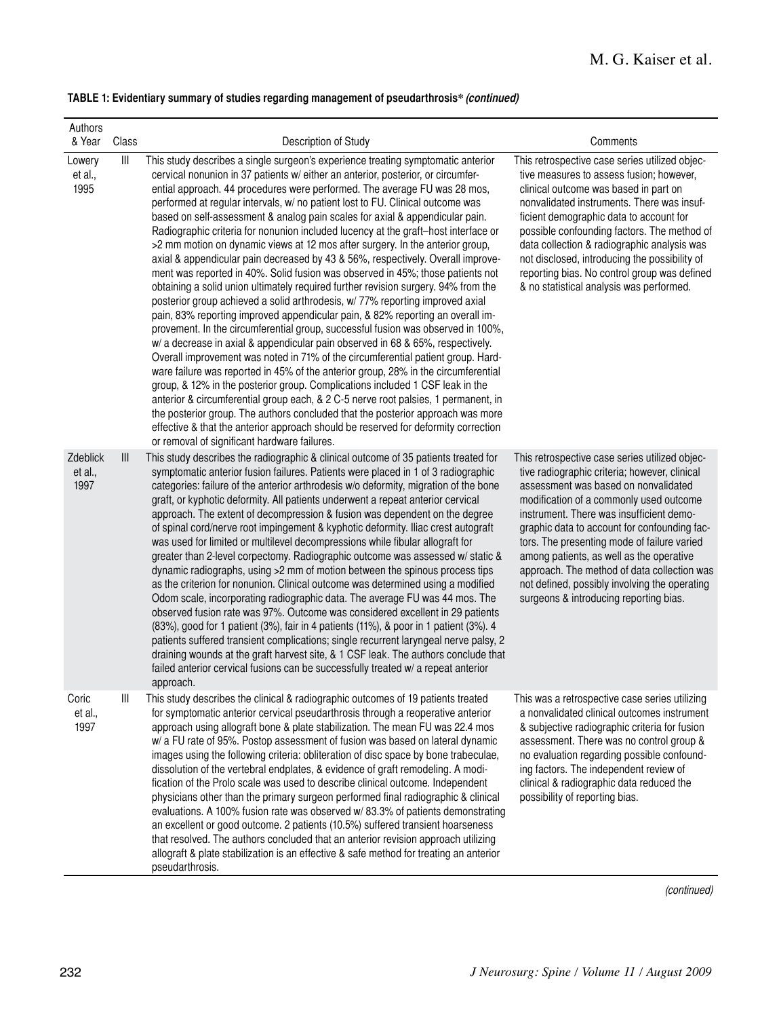### **TABLE 1: Evidentiary summary of studies regarding management of pseudarthrosis\* (continued)**

| Authors<br>& Year                  | Class          | Description of Study                                                                                                                                                                                                                                                                                                                                                                                                                                                                                                                                                                                                                                                                                                                                                                                                                                                                                                                                                                                                                                                                                                                                                                                                                                                                                                                                                                                                                                                                                                                                                                                                                                                                                                                                                     | Comments                                                                                                                                                                                                                                                                                                                                                                                                                                                                                                            |
|------------------------------------|----------------|--------------------------------------------------------------------------------------------------------------------------------------------------------------------------------------------------------------------------------------------------------------------------------------------------------------------------------------------------------------------------------------------------------------------------------------------------------------------------------------------------------------------------------------------------------------------------------------------------------------------------------------------------------------------------------------------------------------------------------------------------------------------------------------------------------------------------------------------------------------------------------------------------------------------------------------------------------------------------------------------------------------------------------------------------------------------------------------------------------------------------------------------------------------------------------------------------------------------------------------------------------------------------------------------------------------------------------------------------------------------------------------------------------------------------------------------------------------------------------------------------------------------------------------------------------------------------------------------------------------------------------------------------------------------------------------------------------------------------------------------------------------------------|---------------------------------------------------------------------------------------------------------------------------------------------------------------------------------------------------------------------------------------------------------------------------------------------------------------------------------------------------------------------------------------------------------------------------------------------------------------------------------------------------------------------|
| Lowery<br>et al.,<br>1995          | Ш              | This study describes a single surgeon's experience treating symptomatic anterior<br>cervical nonunion in 37 patients w/ either an anterior, posterior, or circumfer-<br>ential approach. 44 procedures were performed. The average FU was 28 mos,<br>performed at regular intervals, w/ no patient lost to FU. Clinical outcome was<br>based on self-assessment & analog pain scales for axial & appendicular pain.<br>Radiographic criteria for nonunion included lucency at the graft-host interface or<br>>2 mm motion on dynamic views at 12 mos after surgery. In the anterior group,<br>axial & appendicular pain decreased by 43 & 56%, respectively. Overall improve-<br>ment was reported in 40%. Solid fusion was observed in 45%; those patients not<br>obtaining a solid union ultimately required further revision surgery. 94% from the<br>posterior group achieved a solid arthrodesis, w/ 77% reporting improved axial<br>pain, 83% reporting improved appendicular pain, & 82% reporting an overall im-<br>provement. In the circumferential group, successful fusion was observed in 100%,<br>w/ a decrease in axial & appendicular pain observed in 68 & 65%, respectively.<br>Overall improvement was noted in 71% of the circumferential patient group. Hard-<br>ware failure was reported in 45% of the anterior group, 28% in the circumferential<br>group, & 12% in the posterior group. Complications included 1 CSF leak in the<br>anterior & circumferential group each, & 2 C-5 nerve root palsies, 1 permanent, in<br>the posterior group. The authors concluded that the posterior approach was more<br>effective & that the anterior approach should be reserved for deformity correction<br>or removal of significant hardware failures. | This retrospective case series utilized objec-<br>tive measures to assess fusion; however,<br>clinical outcome was based in part on<br>nonvalidated instruments. There was insuf-<br>ficient demographic data to account for<br>possible confounding factors. The method of<br>data collection & radiographic analysis was<br>not disclosed, introducing the possibility of<br>reporting bias. No control group was defined<br>& no statistical analysis was performed.                                             |
| <b>Zdeblick</b><br>et al.,<br>1997 | $\mathsf{III}$ | This study describes the radiographic & clinical outcome of 35 patients treated for<br>symptomatic anterior fusion failures. Patients were placed in 1 of 3 radiographic<br>categories: failure of the anterior arthrodesis w/o deformity, migration of the bone<br>graft, or kyphotic deformity. All patients underwent a repeat anterior cervical<br>approach. The extent of decompression & fusion was dependent on the degree<br>of spinal cord/nerve root impingement & kyphotic deformity. Iliac crest autograft<br>was used for limited or multilevel decompressions while fibular allograft for<br>greater than 2-level corpectomy. Radiographic outcome was assessed w/ static &<br>dynamic radiographs, using >2 mm of motion between the spinous process tips<br>as the criterion for nonunion. Clinical outcome was determined using a modified<br>Odom scale, incorporating radiographic data. The average FU was 44 mos. The<br>observed fusion rate was 97%. Outcome was considered excellent in 29 patients<br>(83%), good for 1 patient (3%), fair in 4 patients (11%), & poor in 1 patient (3%). 4<br>patients suffered transient complications; single recurrent laryngeal nerve palsy, 2<br>draining wounds at the graft harvest site, & 1 CSF leak. The authors conclude that<br>failed anterior cervical fusions can be successfully treated w/ a repeat anterior<br>approach.                                                                                                                                                                                                                                                                                                                                                                     | This retrospective case series utilized objec-<br>tive radiographic criteria; however, clinical<br>assessment was based on nonvalidated<br>modification of a commonly used outcome<br>instrument. There was insufficient demo-<br>graphic data to account for confounding fac-<br>tors. The presenting mode of failure varied<br>among patients, as well as the operative<br>approach. The method of data collection was<br>not defined, possibly involving the operating<br>surgeons & introducing reporting bias. |
| Coric<br>et al.,<br>1997           | Ш              | This study describes the clinical & radiographic outcomes of 19 patients treated<br>for symptomatic anterior cervical pseudarthrosis through a reoperative anterior<br>approach using allograft bone & plate stabilization. The mean FU was 22.4 mos<br>w/ a FU rate of 95%. Postop assessment of fusion was based on lateral dynamic<br>images using the following criteria: obliteration of disc space by bone trabeculae,<br>dissolution of the vertebral endplates, & evidence of graft remodeling. A modi-<br>fication of the Prolo scale was used to describe clinical outcome. Independent<br>physicians other than the primary surgeon performed final radiographic & clinical<br>evaluations. A 100% fusion rate was observed w/83.3% of patients demonstrating<br>an excellent or good outcome. 2 patients (10.5%) suffered transient hoarseness<br>that resolved. The authors concluded that an anterior revision approach utilizing<br>allograft & plate stabilization is an effective & safe method for treating an anterior<br>pseudarthrosis.                                                                                                                                                                                                                                                                                                                                                                                                                                                                                                                                                                                                                                                                                                             | This was a retrospective case series utilizing<br>a nonvalidated clinical outcomes instrument<br>& subjective radiographic criteria for fusion<br>assessment. There was no control group &<br>no evaluation regarding possible confound-<br>ing factors. The independent review of<br>clinical & radiographic data reduced the<br>possibility of reporting bias.                                                                                                                                                    |

(continued)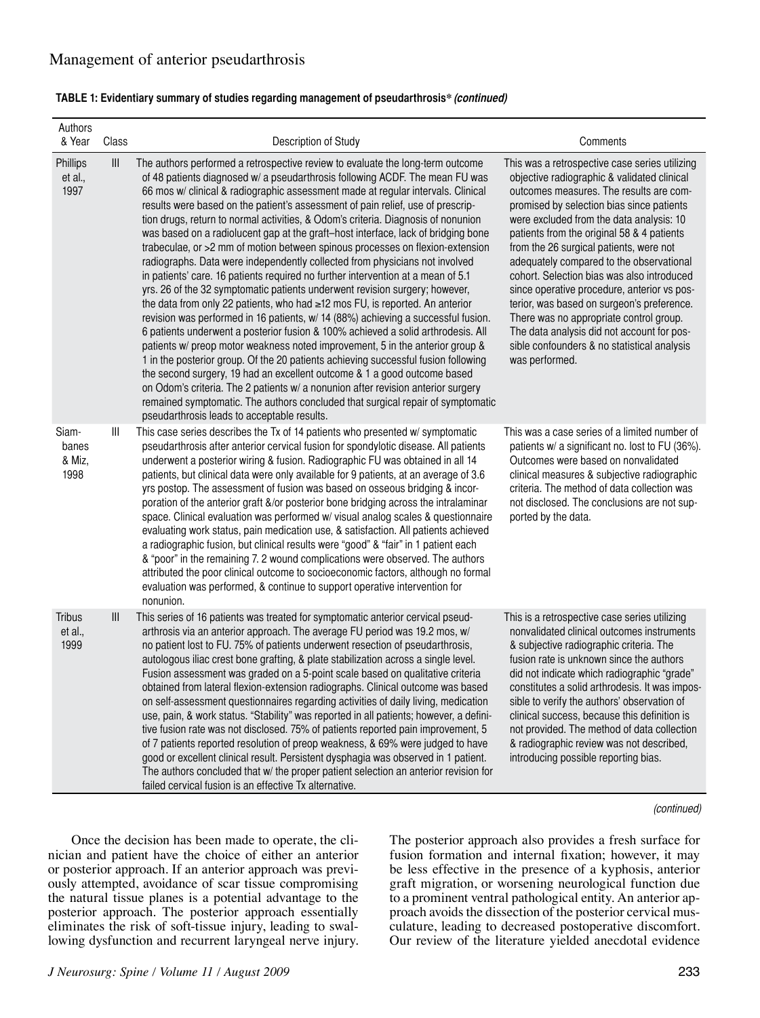|  | TABLE 1: Evidentiary summary of studies regarding management of pseudarthrosis* (continued) |  |
|--|---------------------------------------------------------------------------------------------|--|
|--|---------------------------------------------------------------------------------------------|--|

| Authors<br>& Year                | Class                              | Description of Study                                                                                                                                                                                                                                                                                                                                                                                                                                                                                                                                                                                                                                                                                                                                                                                                                                                                                                                                                                                                                                                                                                                                                                                                                                                                                                                                                                                                                                                                                                                                                                 | Comments                                                                                                                                                                                                                                                                                                                                                                                                                                                                                                                                                                                                                                                                    |
|----------------------------------|------------------------------------|--------------------------------------------------------------------------------------------------------------------------------------------------------------------------------------------------------------------------------------------------------------------------------------------------------------------------------------------------------------------------------------------------------------------------------------------------------------------------------------------------------------------------------------------------------------------------------------------------------------------------------------------------------------------------------------------------------------------------------------------------------------------------------------------------------------------------------------------------------------------------------------------------------------------------------------------------------------------------------------------------------------------------------------------------------------------------------------------------------------------------------------------------------------------------------------------------------------------------------------------------------------------------------------------------------------------------------------------------------------------------------------------------------------------------------------------------------------------------------------------------------------------------------------------------------------------------------------|-----------------------------------------------------------------------------------------------------------------------------------------------------------------------------------------------------------------------------------------------------------------------------------------------------------------------------------------------------------------------------------------------------------------------------------------------------------------------------------------------------------------------------------------------------------------------------------------------------------------------------------------------------------------------------|
| Phillips<br>et al.,<br>1997      | $\ensuremath{\mathsf{III}}\xspace$ | The authors performed a retrospective review to evaluate the long-term outcome<br>of 48 patients diagnosed w/ a pseudarthrosis following ACDF. The mean FU was<br>66 mos w/ clinical & radiographic assessment made at regular intervals. Clinical<br>results were based on the patient's assessment of pain relief, use of prescrip-<br>tion drugs, return to normal activities, & Odom's criteria. Diagnosis of nonunion<br>was based on a radiolucent gap at the graft-host interface, lack of bridging bone<br>trabeculae, or >2 mm of motion between spinous processes on flexion-extension<br>radiographs. Data were independently collected from physicians not involved<br>in patients' care. 16 patients required no further intervention at a mean of 5.1<br>yrs. 26 of the 32 symptomatic patients underwent revision surgery; however,<br>the data from only 22 patients, who had ≥12 mos FU, is reported. An anterior<br>revision was performed in 16 patients, w/ 14 (88%) achieving a successful fusion.<br>6 patients underwent a posterior fusion & 100% achieved a solid arthrodesis. All<br>patients w/ preop motor weakness noted improvement, 5 in the anterior group &<br>1 in the posterior group. Of the 20 patients achieving successful fusion following<br>the second surgery, 19 had an excellent outcome & 1 a good outcome based<br>on Odom's criteria. The 2 patients w/ a nonunion after revision anterior surgery<br>remained symptomatic. The authors concluded that surgical repair of symptomatic<br>pseudarthrosis leads to acceptable results. | This was a retrospective case series utilizing<br>objective radiographic & validated clinical<br>outcomes measures. The results are com-<br>promised by selection bias since patients<br>were excluded from the data analysis: 10<br>patients from the original 58 & 4 patients<br>from the 26 surgical patients, were not<br>adequately compared to the observational<br>cohort. Selection bias was also introduced<br>since operative procedure, anterior vs pos-<br>terior, was based on surgeon's preference.<br>There was no appropriate control group.<br>The data analysis did not account for pos-<br>sible confounders & no statistical analysis<br>was performed. |
| Siam-<br>banes<br>& Miz,<br>1998 | Ш                                  | This case series describes the Tx of 14 patients who presented w/ symptomatic<br>pseudarthrosis after anterior cervical fusion for spondylotic disease. All patients<br>underwent a posterior wiring & fusion. Radiographic FU was obtained in all 14<br>patients, but clinical data were only available for 9 patients, at an average of 3.6<br>yrs postop. The assessment of fusion was based on osseous bridging & incor-<br>poration of the anterior graft &/or posterior bone bridging across the intralaminar<br>space. Clinical evaluation was performed w/ visual analog scales & questionnaire<br>evaluating work status, pain medication use, & satisfaction. All patients achieved<br>a radiographic fusion, but clinical results were "good" & "fair" in 1 patient each<br>& "poor" in the remaining 7. 2 wound complications were observed. The authors<br>attributed the poor clinical outcome to socioeconomic factors, although no formal<br>evaluation was performed, & continue to support operative intervention for<br>nonunion.                                                                                                                                                                                                                                                                                                                                                                                                                                                                                                                                 | This was a case series of a limited number of<br>patients w/ a significant no. lost to FU (36%).<br>Outcomes were based on nonvalidated<br>clinical measures & subjective radiographic<br>criteria. The method of data collection was<br>not disclosed. The conclusions are not sup-<br>ported by the data.                                                                                                                                                                                                                                                                                                                                                                 |
| <b>Tribus</b><br>et al.,<br>1999 | Ш                                  | This series of 16 patients was treated for symptomatic anterior cervical pseud-<br>arthrosis via an anterior approach. The average FU period was 19.2 mos, w/<br>no patient lost to FU. 75% of patients underwent resection of pseudarthrosis,<br>autologous iliac crest bone grafting, & plate stabilization across a single level.<br>Fusion assessment was graded on a 5-point scale based on qualitative criteria<br>obtained from lateral flexion-extension radiographs. Clinical outcome was based<br>on self-assessment questionnaires regarding activities of daily living, medication<br>use, pain, & work status. "Stability" was reported in all patients; however, a defini-<br>tive fusion rate was not disclosed. 75% of patients reported pain improvement, 5<br>of 7 patients reported resolution of preop weakness, & 69% were judged to have<br>good or excellent clinical result. Persistent dysphagia was observed in 1 patient.<br>The authors concluded that w/ the proper patient selection an anterior revision for<br>failed cervical fusion is an effective Tx alternative.                                                                                                                                                                                                                                                                                                                                                                                                                                                                                | This is a retrospective case series utilizing<br>nonvalidated clinical outcomes instruments<br>& subjective radiographic criteria. The<br>fusion rate is unknown since the authors<br>did not indicate which radiographic "grade"<br>constitutes a solid arthrodesis. It was impos-<br>sible to verify the authors' observation of<br>clinical success, because this definition is<br>not provided. The method of data collection<br>& radiographic review was not described,<br>introducing possible reporting bias.                                                                                                                                                       |

(continued)

Once the decision has been made to operate, the clinician and patient have the choice of either an anterior or posterior approach. If an anterior approach was previously attempted, avoidance of scar tissue compromising the natural tissue planes is a potential advantage to the posterior approach. The posterior approach essentially eliminates the risk of soft-tissue injury, leading to swallowing dysfunction and recurrent laryngeal nerve injury. The posterior approach also provides a fresh surface for fusion formation and internal fixation; however, it may be less effective in the presence of a kyphosis, anterior graft migration, or worsening neurological function due to a prominent ventral pathological entity. An anterior approach avoids the dissection of the posterior cervical musculature, leading to decreased postoperative discomfort. Our review of the literature yielded anecdotal evidence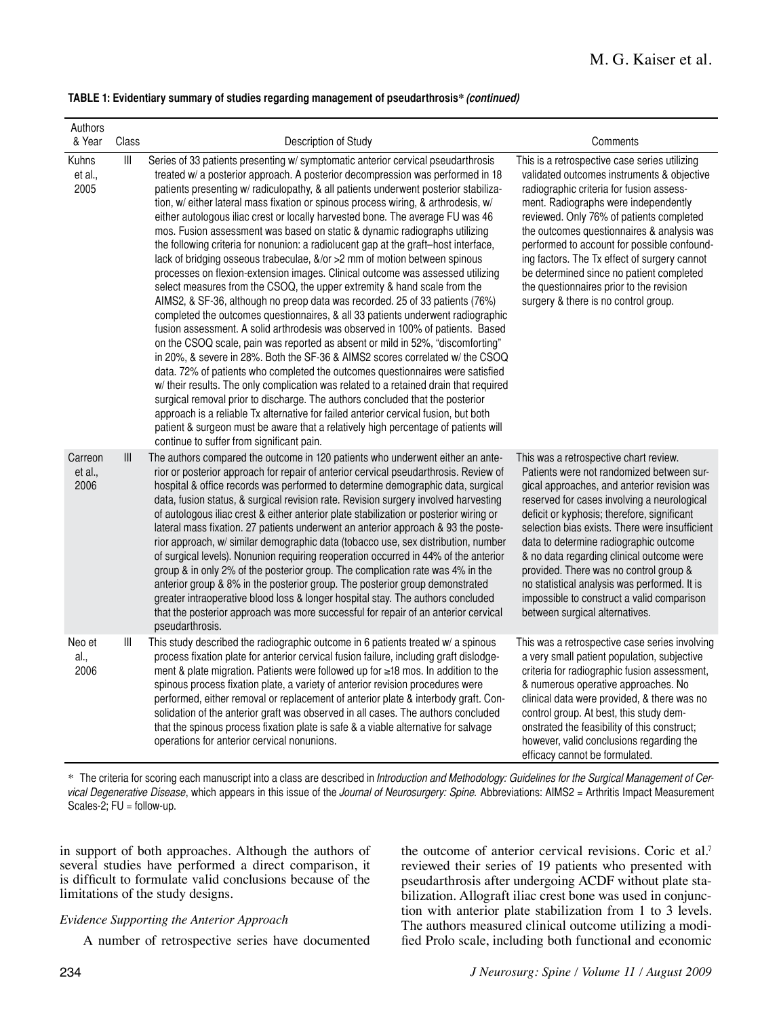### **TABLE 1: Evidentiary summary of studies regarding management of pseudarthrosis\* (continued)**

| Authors<br>& Year          | Class                              | Description of Study                                                                                                                                                                                                                                                                                                                                                                                                                                                                                                                                                                                                                                                                                                                                                                                                                                                                                                                                                                                                                                                                                                                                                                                                                                                                                                                                                                                                                                                                                                                                                                                                                                                                                                                                            | Comments                                                                                                                                                                                                                                                                                                                                                                                                                                                                                                                                            |
|----------------------------|------------------------------------|-----------------------------------------------------------------------------------------------------------------------------------------------------------------------------------------------------------------------------------------------------------------------------------------------------------------------------------------------------------------------------------------------------------------------------------------------------------------------------------------------------------------------------------------------------------------------------------------------------------------------------------------------------------------------------------------------------------------------------------------------------------------------------------------------------------------------------------------------------------------------------------------------------------------------------------------------------------------------------------------------------------------------------------------------------------------------------------------------------------------------------------------------------------------------------------------------------------------------------------------------------------------------------------------------------------------------------------------------------------------------------------------------------------------------------------------------------------------------------------------------------------------------------------------------------------------------------------------------------------------------------------------------------------------------------------------------------------------------------------------------------------------|-----------------------------------------------------------------------------------------------------------------------------------------------------------------------------------------------------------------------------------------------------------------------------------------------------------------------------------------------------------------------------------------------------------------------------------------------------------------------------------------------------------------------------------------------------|
| Kuhns<br>et al.,<br>2005   | $\ensuremath{\mathsf{III}}\xspace$ | Series of 33 patients presenting w/ symptomatic anterior cervical pseudarthrosis<br>treated w/ a posterior approach. A posterior decompression was performed in 18<br>patients presenting w/ radiculopathy, & all patients underwent posterior stabiliza-<br>tion, w/ either lateral mass fixation or spinous process wiring, & arthrodesis, w/<br>either autologous iliac crest or locally harvested bone. The average FU was 46<br>mos. Fusion assessment was based on static & dynamic radiographs utilizing<br>the following criteria for nonunion: a radiolucent gap at the graft-host interface,<br>lack of bridging osseous trabeculae, &/or >2 mm of motion between spinous<br>processes on flexion-extension images. Clinical outcome was assessed utilizing<br>select measures from the CSOQ, the upper extremity & hand scale from the<br>AIMS2, & SF-36, although no preop data was recorded. 25 of 33 patients (76%)<br>completed the outcomes questionnaires, & all 33 patients underwent radiographic<br>fusion assessment. A solid arthrodesis was observed in 100% of patients. Based<br>on the CSOQ scale, pain was reported as absent or mild in 52%, "discomforting"<br>in 20%, & severe in 28%. Both the SF-36 & AIMS2 scores correlated w/ the CSOQ<br>data. 72% of patients who completed the outcomes questionnaires were satisfied<br>w/ their results. The only complication was related to a retained drain that required<br>surgical removal prior to discharge. The authors concluded that the posterior<br>approach is a reliable Tx alternative for failed anterior cervical fusion, but both<br>patient & surgeon must be aware that a relatively high percentage of patients will<br>continue to suffer from significant pain. | This is a retrospective case series utilizing<br>validated outcomes instruments & objective<br>radiographic criteria for fusion assess-<br>ment. Radiographs were independently<br>reviewed. Only 76% of patients completed<br>the outcomes questionnaires & analysis was<br>performed to account for possible confound-<br>ing factors. The Tx effect of surgery cannot<br>be determined since no patient completed<br>the questionnaires prior to the revision<br>surgery & there is no control group.                                            |
| Carreon<br>et al.,<br>2006 | Ш                                  | The authors compared the outcome in 120 patients who underwent either an ante-<br>rior or posterior approach for repair of anterior cervical pseudarthrosis. Review of<br>hospital & office records was performed to determine demographic data, surgical<br>data, fusion status, & surgical revision rate. Revision surgery involved harvesting<br>of autologous iliac crest & either anterior plate stabilization or posterior wiring or<br>lateral mass fixation. 27 patients underwent an anterior approach & 93 the poste-<br>rior approach, w/ similar demographic data (tobacco use, sex distribution, number<br>of surgical levels). Nonunion requiring reoperation occurred in 44% of the anterior<br>group & in only 2% of the posterior group. The complication rate was 4% in the<br>anterior group & 8% in the posterior group. The posterior group demonstrated<br>greater intraoperative blood loss & longer hospital stay. The authors concluded<br>that the posterior approach was more successful for repair of an anterior cervical<br>pseudarthrosis.                                                                                                                                                                                                                                                                                                                                                                                                                                                                                                                                                                                                                                                                                       | This was a retrospective chart review.<br>Patients were not randomized between sur-<br>gical approaches, and anterior revision was<br>reserved for cases involving a neurological<br>deficit or kyphosis; therefore, significant<br>selection bias exists. There were insufficient<br>data to determine radiographic outcome<br>& no data regarding clinical outcome were<br>provided. There was no control group &<br>no statistical analysis was performed. It is<br>impossible to construct a valid comparison<br>between surgical alternatives. |
| Neo et<br>al.,<br>2006     | Ш                                  | This study described the radiographic outcome in 6 patients treated w/ a spinous<br>process fixation plate for anterior cervical fusion failure, including graft dislodge-<br>ment & plate migration. Patients were followed up for ≥18 mos. In addition to the<br>spinous process fixation plate, a variety of anterior revision procedures were<br>performed, either removal or replacement of anterior plate & interbody graft. Con-<br>solidation of the anterior graft was observed in all cases. The authors concluded<br>that the spinous process fixation plate is safe & a viable alternative for salvage<br>operations for anterior cervical nonunions.                                                                                                                                                                                                                                                                                                                                                                                                                                                                                                                                                                                                                                                                                                                                                                                                                                                                                                                                                                                                                                                                                               | This was a retrospective case series involving<br>a very small patient population, subjective<br>criteria for radiographic fusion assessment,<br>& numerous operative approaches. No<br>clinical data were provided, & there was no<br>control group. At best, this study dem-<br>onstrated the feasibility of this construct;<br>however, valid conclusions regarding the<br>efficacy cannot be formulated.                                                                                                                                        |

\* The criteria for scoring each manuscript into a class are described in Introduction and Methodology: Guidelines for the Surgical Management of Cervical Degenerative Disease, which appears in this issue of the Journal of Neurosurgery: Spine. Abbreviations: AIMS2 = Arthritis Impact Measurement Scales-2; FU = follow-up.

in support of both approaches. Although the authors of several studies have performed a direct comparison, it is difficult to formulate valid conclusions because of the limitations of the study designs.

### *Evidence Supporting the Anterior Approach*

A number of retrospective series have documented

the outcome of anterior cervical revisions. Coric et al.7 reviewed their series of 19 patients who presented with pseudarthrosis after undergoing ACDF without plate stabilization. Allograft iliac crest bone was used in conjunction with anterior plate stabilization from 1 to 3 levels. The authors measured clinical outcome utilizing a modified Prolo scale, including both functional and economic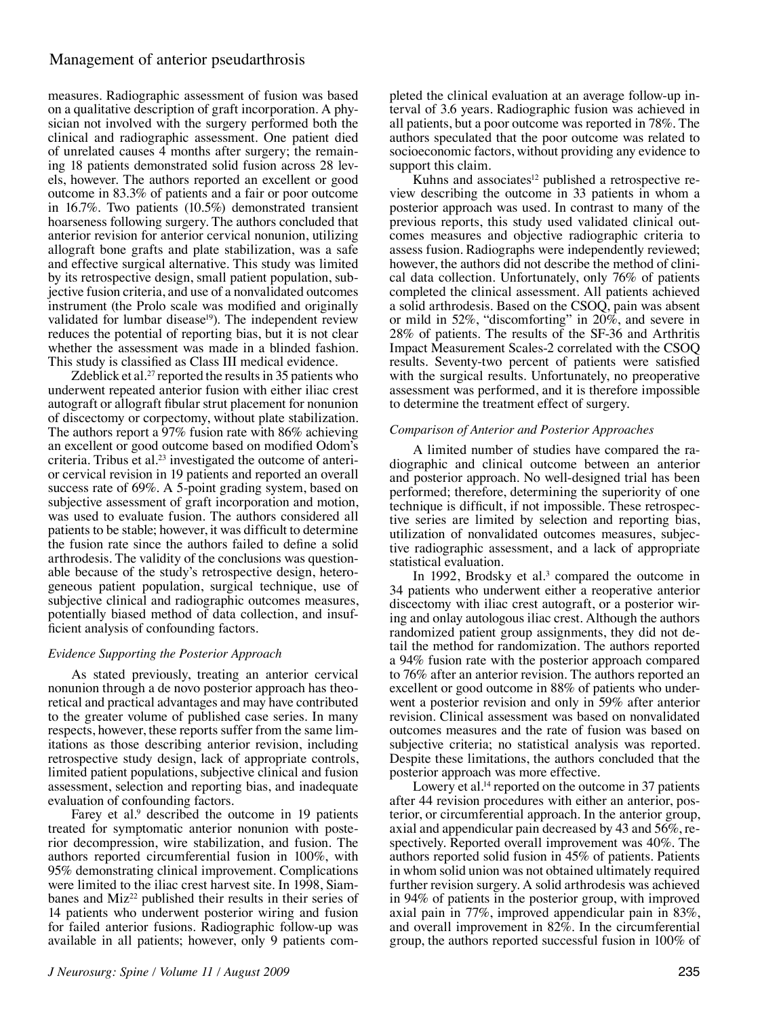# Management of anterior pseudarthrosis

measures. Radiographic assessment of fusion was based on a qualitative description of graft incorporation. A physician not involved with the surgery performed both the clinical and radiographic assessment. One patient died of unrelated causes 4 months after surgery; the remaining 18 patients demonstrated solid fusion across 28 levels, however. The authors reported an excellent or good outcome in 83.3% of patients and a fair or poor outcome in 16.7%. Two patients (10.5%) demonstrated transient hoarseness following surgery. The authors concluded that anterior revision for anterior cervical nonunion, utilizing allograft bone grafts and plate stabilization, was a safe and effective surgical alternative. This study was limited by its retrospective design, small patient population, subjective fusion criteria, and use of a nonvalidated outcomes instrument (the Prolo scale was modified and originally validated for lumbar disease<sup>19</sup>). The independent review reduces the potential of reporting bias, but it is not clear whether the assessment was made in a blinded fashion. This study is classified as Class III medical evidence.

Zdeblick et al.<sup>27</sup> reported the results in 35 patients who underwent repeated anterior fusion with either iliac crest autograft or allograft fibular strut placement for nonunion of discectomy or corpectomy, without plate stabilization. The authors report a 97% fusion rate with 86% achieving an excellent or good outcome based on modified Odom's criteria. Tribus et al.<sup>23</sup> investigated the outcome of anterior cervical revision in 19 patients and reported an overall success rate of 69%. A 5-point grading system, based on subjective assessment of graft incorporation and motion, was used to evaluate fusion. The authors considered all patients to be stable; however, it was difficult to determine the fusion rate since the authors failed to define a solid arthrodesis. The validity of the conclusions was questionable because of the study's retrospective design, heterogeneous patient population, surgical technique, use of subjective clinical and radiographic outcomes measures, potentially biased method of data collection, and insufficient analysis of confounding factors.

### *Evidence Supporting the Posterior Approach*

As stated previously, treating an anterior cervical nonunion through a de novo posterior approach has theoretical and practical advantages and may have contributed to the greater volume of published case series. In many respects, however, these reports suffer from the same limitations as those describing anterior revision, including retrospective study design, lack of appropriate controls, limited patient populations, subjective clinical and fusion assessment, selection and reporting bias, and inadequate evaluation of confounding factors.

Farey et al.<sup>9</sup> described the outcome in 19 patients treated for symptomatic anterior nonunion with posterior decompression, wire stabilization, and fusion. The authors reported circumferential fusion in 100%, with 95% demonstrating clinical improvement. Complications were limited to the iliac crest harvest site. In 1998, Siambanes and Miz<sup>22</sup> published their results in their series of 14 patients who underwent posterior wiring and fusion for failed anterior fusions. Radiographic follow-up was available in all patients; however, only 9 patients completed the clinical evaluation at an average follow-up interval of 3.6 years. Radiographic fusion was achieved in all patients, but a poor outcome was reported in 78%. The authors speculated that the poor outcome was related to socioeconomic factors, without providing any evidence to support this claim.

Kuhns and associates $12$  published a retrospective review describing the outcome in 33 patients in whom a posterior approach was used. In contrast to many of the previous reports, this study used validated clinical outcomes measures and objective radiographic criteria to assess fusion. Radiographs were independently reviewed; however, the authors did not describe the method of clinical data collection. Unfortunately, only 76% of patients completed the clinical assessment. All patients achieved a solid arthrodesis. Based on the CSOQ, pain was absent or mild in 52%, "discomforting" in 20%, and severe in 28% of patients. The results of the SF-36 and Arthritis Impact Measurement Scales-2 correlated with the CSOQ results. Seventy-two percent of patients were satisfied with the surgical results. Unfortunately, no preoperative assessment was performed, and it is therefore impossible to determine the treatment effect of surgery.

### *Comparison of Anterior and Posterior Approaches*

A limited number of studies have compared the radiographic and clinical outcome between an anterior and posterior approach. No well-designed trial has been performed; therefore, determining the superiority of one technique is difficult, if not impossible. These retrospective series are limited by selection and reporting bias, utilization of nonvalidated outcomes measures, subjective radiographic assessment, and a lack of appropriate statistical evaluation.

In 1992, Brodsky et al.<sup>3</sup> compared the outcome in 34 patients who underwent either a reoperative anterior discectomy with iliac crest autograft, or a posterior wiring and onlay autologous iliac crest. Although the authors randomized patient group assignments, they did not detail the method for randomization. The authors reported a 94% fusion rate with the posterior approach compared to 76% after an anterior revision. The authors reported an excellent or good outcome in 88% of patients who underwent a posterior revision and only in 59% after anterior revision. Clinical assessment was based on nonvalidated outcomes measures and the rate of fusion was based on subjective criteria; no statistical analysis was reported. Despite these limitations, the authors concluded that the posterior approach was more effective.

Lowery et al.<sup>14</sup> reported on the outcome in 37 patients after 44 revision procedures with either an anterior, posterior, or circumferential approach. In the anterior group, axial and appendicular pain decreased by 43 and 56%, respectively. Reported overall improvement was 40%. The authors reported solid fusion in 45% of patients. Patients in whom solid union was not obtained ultimately required further revision surgery. A solid arthrodesis was achieved in 94% of patients in the posterior group, with improved axial pain in 77%, improved appendicular pain in 83%, and overall improvement in 82%. In the circumferential group, the authors reported successful fusion in 100% of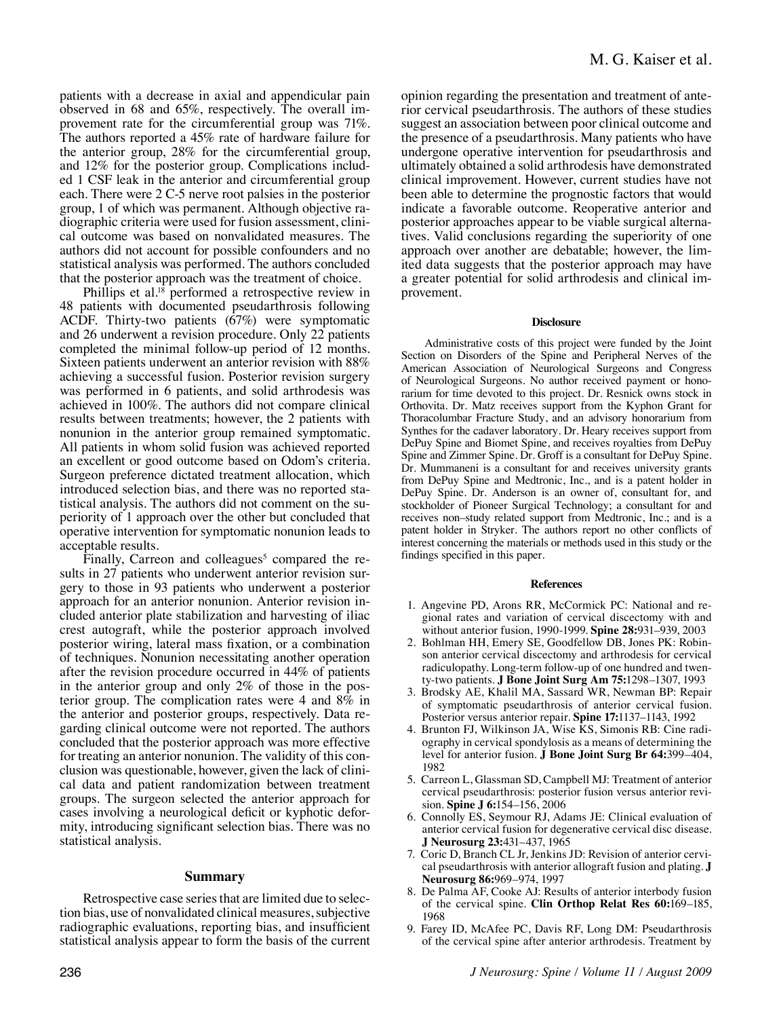patients with a decrease in axial and appendicular pain observed in 68 and 65%, respectively. The overall improvement rate for the circumferential group was 71%. The authors reported a 45% rate of hardware failure for the anterior group, 28% for the circumferential group, and 12% for the posterior group. Complications included 1 CSF leak in the anterior and circumferential group each. There were 2 C-5 nerve root palsies in the posterior group, 1 of which was permanent. Although objective radiographic criteria were used for fusion assessment, clinical outcome was based on nonvalidated measures. The authors did not account for possible confounders and no statistical analysis was performed. The authors concluded that the posterior approach was the treatment of choice.

Phillips et al.<sup>18</sup> performed a retrospective review in 48 patients with documented pseudarthrosis following ACDF. Thirty-two patients (67%) were symptomatic and 26 underwent a revision procedure. Only 22 patients completed the minimal follow-up period of 12 months. Sixteen patients underwent an anterior revision with 88% achieving a successful fusion. Posterior revision surgery was performed in 6 patients, and solid arthrodesis was achieved in 100%. The authors did not compare clinical results between treatments; however, the 2 patients with nonunion in the anterior group remained symptomatic. All patients in whom solid fusion was achieved reported an excellent or good outcome based on Odom's criteria. Surgeon preference dictated treatment allocation, which introduced selection bias, and there was no reported statistical analysis. The authors did not comment on the superiority of 1 approach over the other but concluded that operative intervention for symptomatic nonunion leads to acceptable results.

Finally, Carreon and colleagues<sup>5</sup> compared the results in 27 patients who underwent anterior revision surgery to those in 93 patients who underwent a posterior approach for an anterior nonunion. Anterior revision included anterior plate stabilization and harvesting of iliac crest autograft, while the posterior approach involved posterior wiring, lateral mass fixation, or a combination of techniques. Nonunion necessitating another operation after the revision procedure occurred in 44% of patients in the anterior group and only 2% of those in the posterior group. The complication rates were 4 and 8% in the anterior and posterior groups, respectively. Data regarding clinical outcome were not reported. The authors concluded that the posterior approach was more effective for treating an anterior nonunion. The validity of this conclusion was questionable, however, given the lack of clinical data and patient randomization between treatment groups. The surgeon selected the anterior approach for cases involving a neurological deficit or kyphotic deformity, introducing significant selection bias. There was no statistical analysis.

### **Summary**

Retrospective case series that are limited due to selection bias, use of nonvalidated clinical measures, subjective radiographic evaluations, reporting bias, and insufficient statistical analysis appear to form the basis of the current opinion regarding the presentation and treatment of anterior cervical pseudarthrosis. The authors of these studies suggest an association between poor clinical outcome and the presence of a pseudarthrosis. Many patients who have undergone operative intervention for pseudarthrosis and ultimately obtained a solid arthrodesis have demonstrated clinical improvement. However, current studies have not been able to determine the prognostic factors that would indicate a favorable outcome. Reoperative anterior and posterior approaches appear to be viable surgical alternatives. Valid conclusions regarding the superiority of one approach over another are debatable; however, the limited data suggests that the posterior approach may have a greater potential for solid arthrodesis and clinical improvement.

#### **Disclosure**

Administrative costs of this project were funded by the Joint Section on Disorders of the Spine and Peripheral Nerves of the American Association of Neurological Surgeons and Congress of Neurological Surgeons. No author received payment or honorarium for time devoted to this project. Dr. Resnick owns stock in Orthovita. Dr. Matz receives support from the Kyphon Grant for Thoracolumbar Fracture Study, and an advisory honorarium from Synthes for the cadaver laboratory. Dr. Heary receives support from DePuy Spine and Biomet Spine, and receives royalties from DePuy Spine and Zimmer Spine. Dr. Groff is a consultant for DePuy Spine. Dr. Mummaneni is a consultant for and receives university grants from DePuy Spine and Medtronic, Inc., and is a patent holder in DePuy Spine. Dr. Anderson is an owner of, consultant for, and stockholder of Pioneer Surgical Technology; a consultant for and receives non–study related support from Medtronic, Inc.; and is a patent holder in Stryker. The authors report no other conflicts of interest concerning the materials or methods used in this study or the findings specified in this paper.

#### **References**

- 1. Angevine PD, Arons RR, McCormick PC: National and regional rates and variation of cervical discectomy with and without anterior fusion, 1990-1999. **Spine 28:**931–939, 2003
- 2. Bohlman HH, Emery SE, Goodfellow DB, Jones PK: Robinson anterior cervical discectomy and arthrodesis for cervical radiculopathy. Long-term follow-up of one hundred and twenty-two patients. **J Bone Joint Surg Am 75:**1298–1307, 1993
- 3. Brodsky AE, Khalil MA, Sassard WR, Newman BP: Repair of symptomatic pseudarthrosis of anterior cervical fusion. Posterior versus anterior repair. **Spine 17:**1137–1143, 1992
- 4. Brunton FJ, Wilkinson JA, Wise KS, Simonis RB: Cine radiography in cervical spondylosis as a means of determining the level for anterior fusion. **J Bone Joint Surg Br 64:**399–404, 1982
- 5. Carreon L, Glassman SD, Campbell MJ: Treatment of anterior cervical pseudarthrosis: posterior fusion versus anterior revision. **Spine J 6:**154–156, 2006
- 6. Connolly ES, Seymour RJ, Adams JE: Clinical evaluation of anterior cervical fusion for degenerative cervical disc disease. **J Neurosurg 23:**431–437, 1965
- 7. Coric D, Branch CL Jr, Jenkins JD: Revision of anterior cervical pseudarthrosis with anterior allograft fusion and plating. **J Neurosurg 86:**969–974, 1997
- 8. De Palma AF, Cooke AJ: Results of anterior interbody fusion of the cervical spine. **Clin Orthop Relat Res 60:**169–185, 1968
- 9. Farey ID, McAfee PC, Davis RF, Long DM: Pseudarthrosis of the cervical spine after anterior arthrodesis. Treatment by